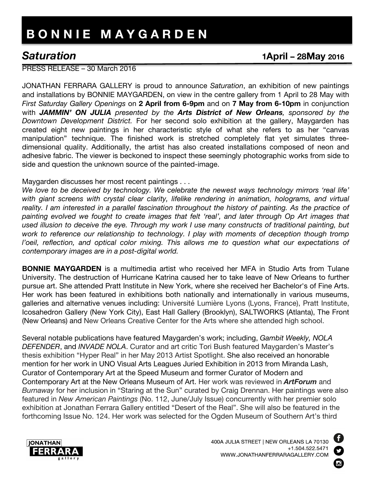## **B O N N I E M A Y G A R D E N**

## *Saturation* **1April – 28May <sup>2016</sup>**

PRESS RELEASE – 30 March 2016

JONATHAN FERRARA GALLERY is proud to announce *Saturation*, an exhibition of new paintings and installations by BONNIE MAYGARDEN, on view in the centre gallery from 1 April to 28 May with *First Saturday Gallery Openings* on **2 April from 6-9pm** and on **7 May from 6-10pm** in conjunction with *JAMMIN' ON JULIA presented by the Arts District of New Orleans, sponsored by the Downtown Development District.* For her second solo exhibition at the gallery, Maygarden has created eight new paintings in her characteristic style of what she refers to as her "canvas manipulation" technique. The finished work is stretched completely flat yet simulates threedimensional quality. Additionally, the artist has also created installations composed of neon and adhesive fabric. The viewer is beckoned to inspect these seemingly photographic works from side to side and question the unknown source of the painted-image.

Maygarden discusses her most recent paintings . . .

*We love to be deceived by technology. We celebrate the newest ways technology mirrors 'real life' with giant screens with crystal clear clarity, lifelike rendering in animation, holograms, and virtual reality. I am interested in a parallel fascination throughout the history of painting. As the practice of painting evolved we fought to create images that felt 'real', and later through Op Art images that used illusion to deceive the eye. Through my work I use many constructs of traditional painting, but work to reference our relationship to technology. I play with moments of deception though tromp l'oeil, reflection, and optical color mixing. This allows me to question what our expectations of contemporary images are in a post-digital world.*

**BONNIE MAYGARDEN** is a multimedia artist who received her MFA in Studio Arts from Tulane University. The destruction of Hurricane Katrina caused her to take leave of New Orleans to further pursue art. She attended Pratt Institute in New York, where she received her Bachelor's of Fine Arts. Her work has been featured in exhibitions both nationally and internationally in various museums, galleries and alternative venues including: Université Lumière Lyons (Lyons, France), Pratt Institute, Icosahedron Gallery (New York City), East Hall Gallery (Brooklyn), SALTWORKS (Atlanta), The Front (New Orleans) and New Orleans Creative Center for the Arts where she attended high school.

Several notable publications have featured Maygarden's work; including, *Gambit Weekly, NOLA DEFENDER*, and *INVADE NOLA*. Curator and art critic Tori Bush featured Maygarden's Master's thesis exhibition "Hyper Real" in her May 2013 Artist Spotlight. She also received an honorable mention for her work in UNO Visual Arts Leagues Juried Exhibition in 2013 from Miranda Lash, Curator of Contemporary Art at the Speed Museum and former Curator of Modern and Contemporary Art at the New Orleans Museum of Art. Her work was reviewed in *ArtForum* and *Burnaway* for her inclusion in "Staring at the Sun" curated by Craig Drennan. Her paintings were also featured in *New American Paintings* (No. 112, June/July Issue) concurrently with her premier solo exhibition at Jonathan Ferrara Gallery entitled "Desert of the Real". She will also be featured in the forthcoming Issue No. 124. Her work was selected for the Ogden Museum of Southern Art's third